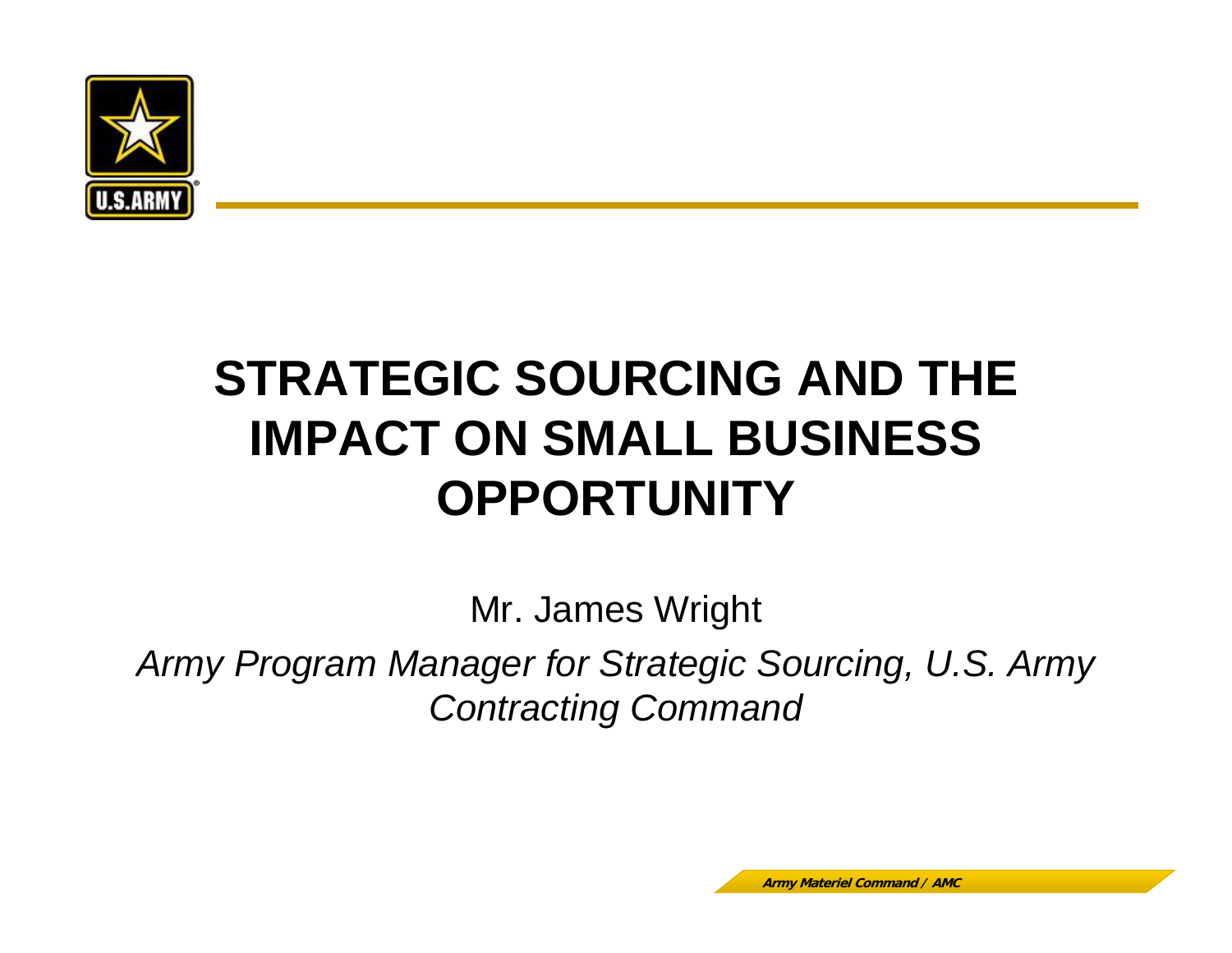

# **STRATEGIC SOURCING AND THE IMPACT ON SMALL BUSINESS OPPORTUNITY**

Mr. James Wright Army Program Manager for Strategic Sourcing, U.S. Army *Contracting Command*

**Army Materiel Command / AMC**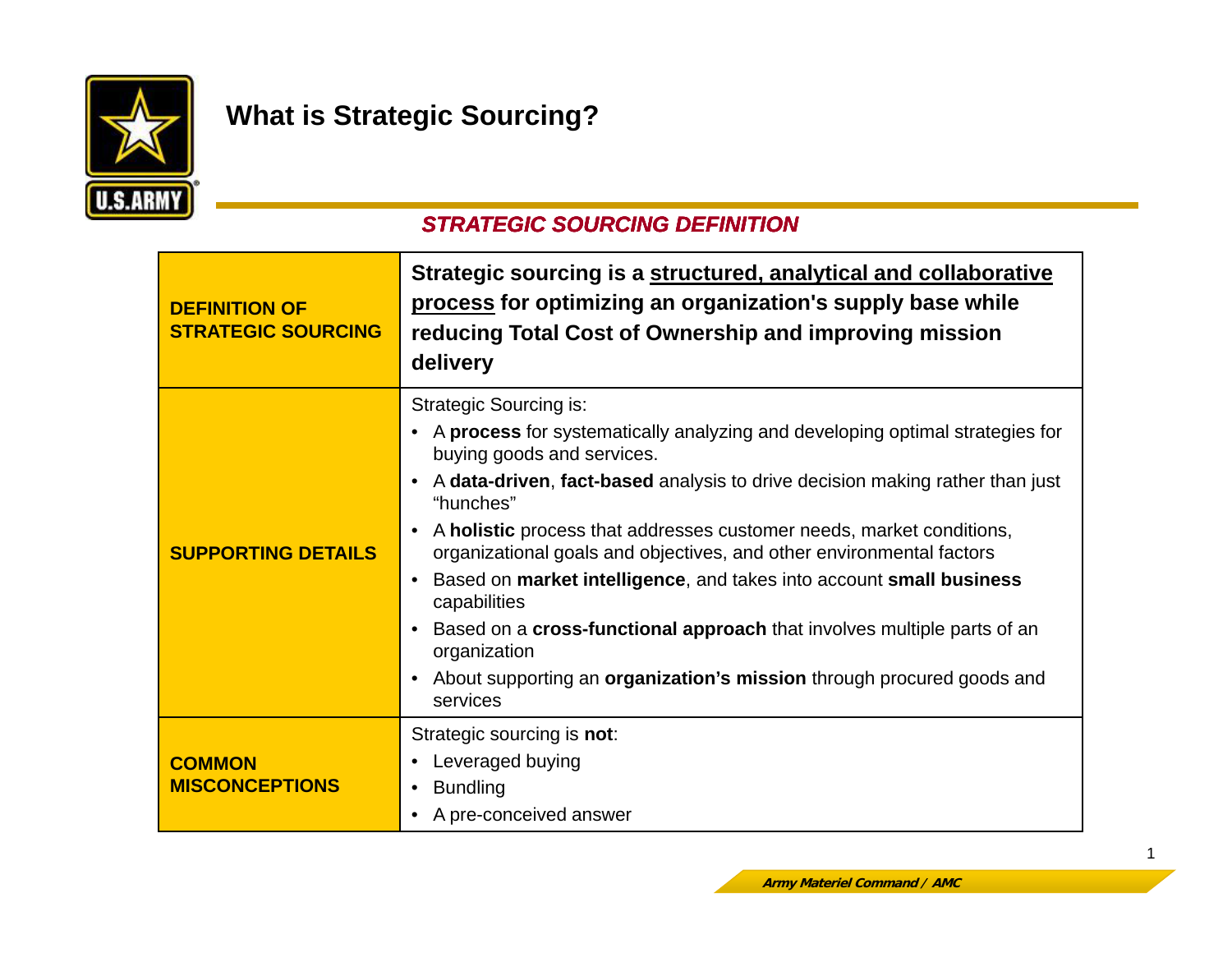

## **What is Strategic Sourcing?**

#### *STRATEGIC SOURCING DEFINITION*

| <b>DEFINITION OF</b><br><b>STRATEGIC SOURCING</b> | Strategic sourcing is a structured, analytical and collaborative<br>process for optimizing an organization's supply base while<br>reducing Total Cost of Ownership and improving mission<br>delivery                                                                                                                                                                                                                                                                                                                                                                                                                                                                     |
|---------------------------------------------------|--------------------------------------------------------------------------------------------------------------------------------------------------------------------------------------------------------------------------------------------------------------------------------------------------------------------------------------------------------------------------------------------------------------------------------------------------------------------------------------------------------------------------------------------------------------------------------------------------------------------------------------------------------------------------|
| <b>SUPPORTING DETAILS</b>                         | <b>Strategic Sourcing is:</b><br>• A process for systematically analyzing and developing optimal strategies for<br>buying goods and services.<br>A data-driven, fact-based analysis to drive decision making rather than just<br>"hunches"<br>A holistic process that addresses customer needs, market conditions,<br>organizational goals and objectives, and other environmental factors<br>Based on market intelligence, and takes into account small business<br>capabilities<br>Based on a <b>cross-functional approach</b> that involves multiple parts of an<br>organization<br>About supporting an organization's mission through procured goods and<br>services |
| <b>COMMON</b><br><b>MISCONCEPTIONS</b>            | Strategic sourcing is not:<br>Leveraged buying<br><b>Bundling</b><br>A pre-conceived answer                                                                                                                                                                                                                                                                                                                                                                                                                                                                                                                                                                              |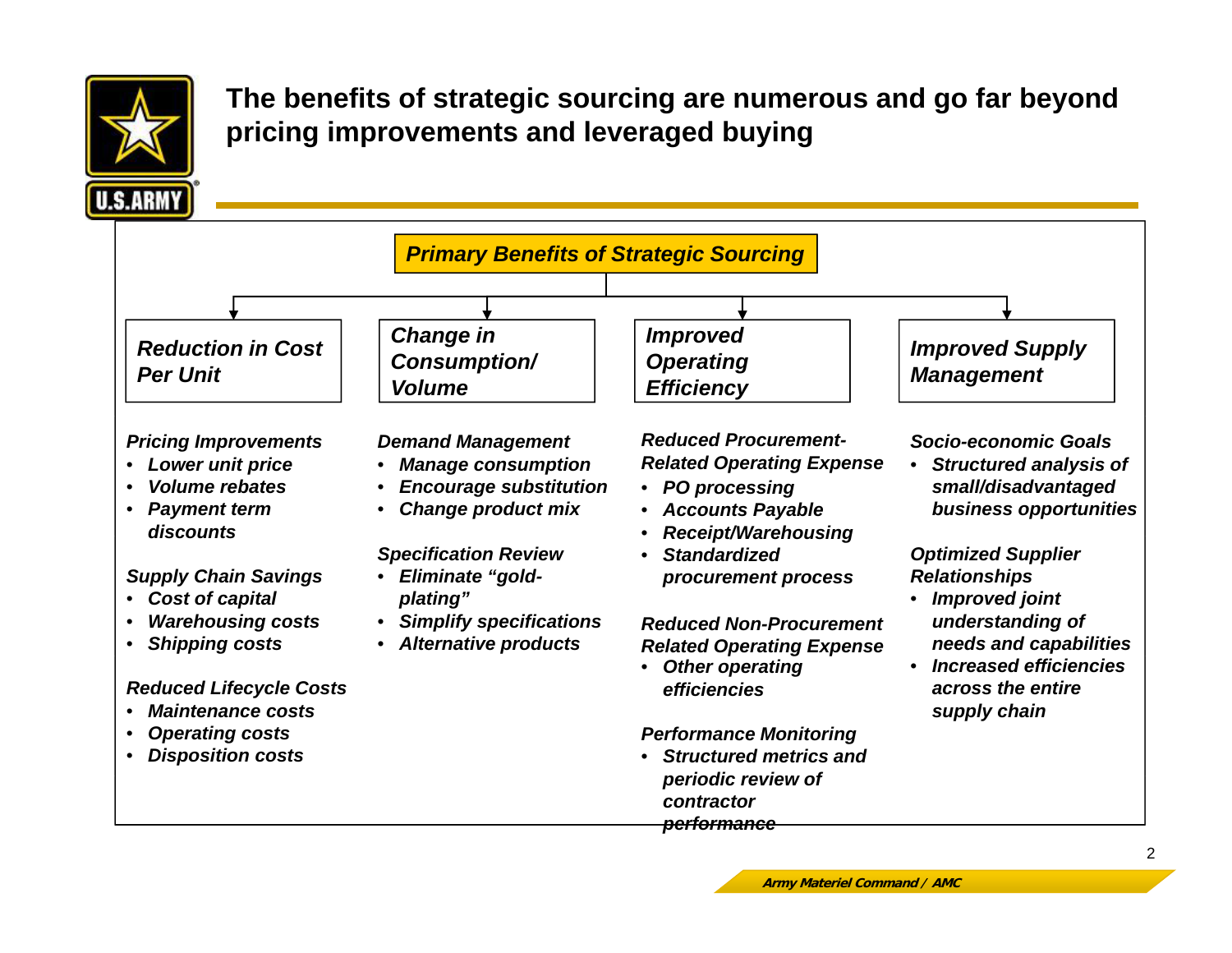

**The benefits of strategic sourcing are numerous and go far beyond pricing improvements and leveraged buying**

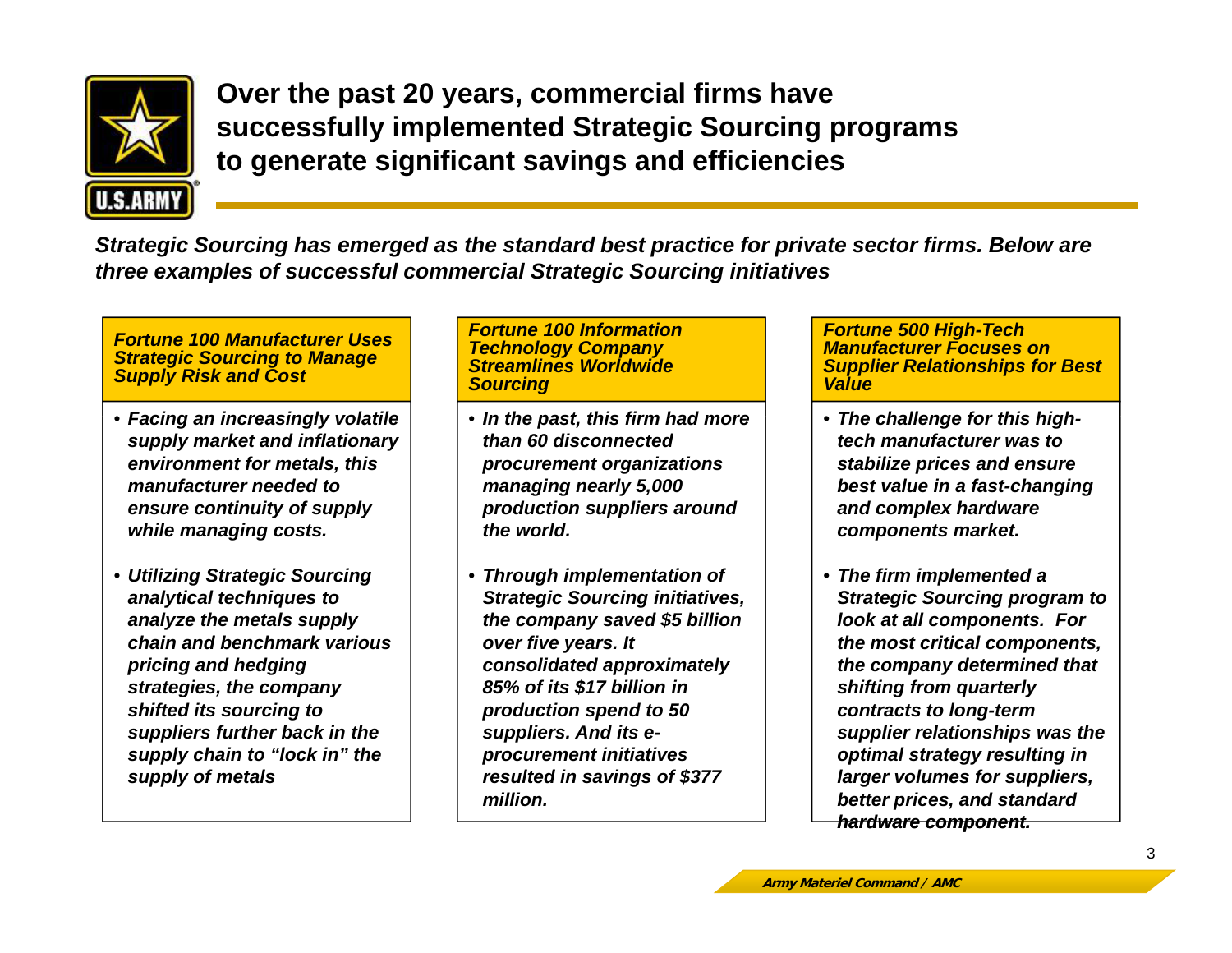

**Over the past 20 years, commercial firms have successfully implemented Strategic Sourcing programs to gg g enerate si gnificant savin gs and efficiencies**

*Strategic Sourcing has emerged as the standard best practice for private sector firms. Below are three examples of successful commercial Strategic Sourcing initiatives*

*Fortune 100 Manufacturer Uses Strategic Sourcing to Manage Supply Risk and Cost*

- *Facing an increasingly volatile* •*supply market and inflationary environment for metals, this manufacturer needed to ensure continuity of supply while managing costs.*
- *Utilizing Strategic Sourcing analytical techniques to analyze the metals supply chain and benchmark various pricing and hedging strategies, the company shifted its sourcing to suppliers further back in the supply chain to "lock in" the supply of metals*

#### *Fortune 100 Information Technology Company Streamlines Worldwide Sourcing*

- Facing an increasingly volatile  $|\hspace{..}\hspace{.1cm}|$  In the past, this firm had more  $|\hspace{.1cm}|$  The challenge for this high *than 60 disconnected procurement organizations managing nearly 5,000 production suppliers around the world.*
	- *Through implementation of Strategic Sourcing initiatives, the company saved \$5 billion over five years. It consolidated approximately 85% of its \$17 billion in production spend to 50 suppliers. And its eprocurement initiatives resulted in savings of \$377 million.*

*Fortune 500 High-Tech Manufacturer Focuses on Supplier Relationships for Best Value* 

- The challenge for this high*tech manufacturer was to stabilize prices and ensure best value in a fast-changing and complex hardware components market.*
- *The firm implemented a Strategic Sourcing program to look at all components. For the most critical components, the company determined that shifting from quarterly contracts to long-term supplier relationships was the optimal strategy resulting in larger volumes for suppliers suppliers, hardware component. hardware better prices, and standard*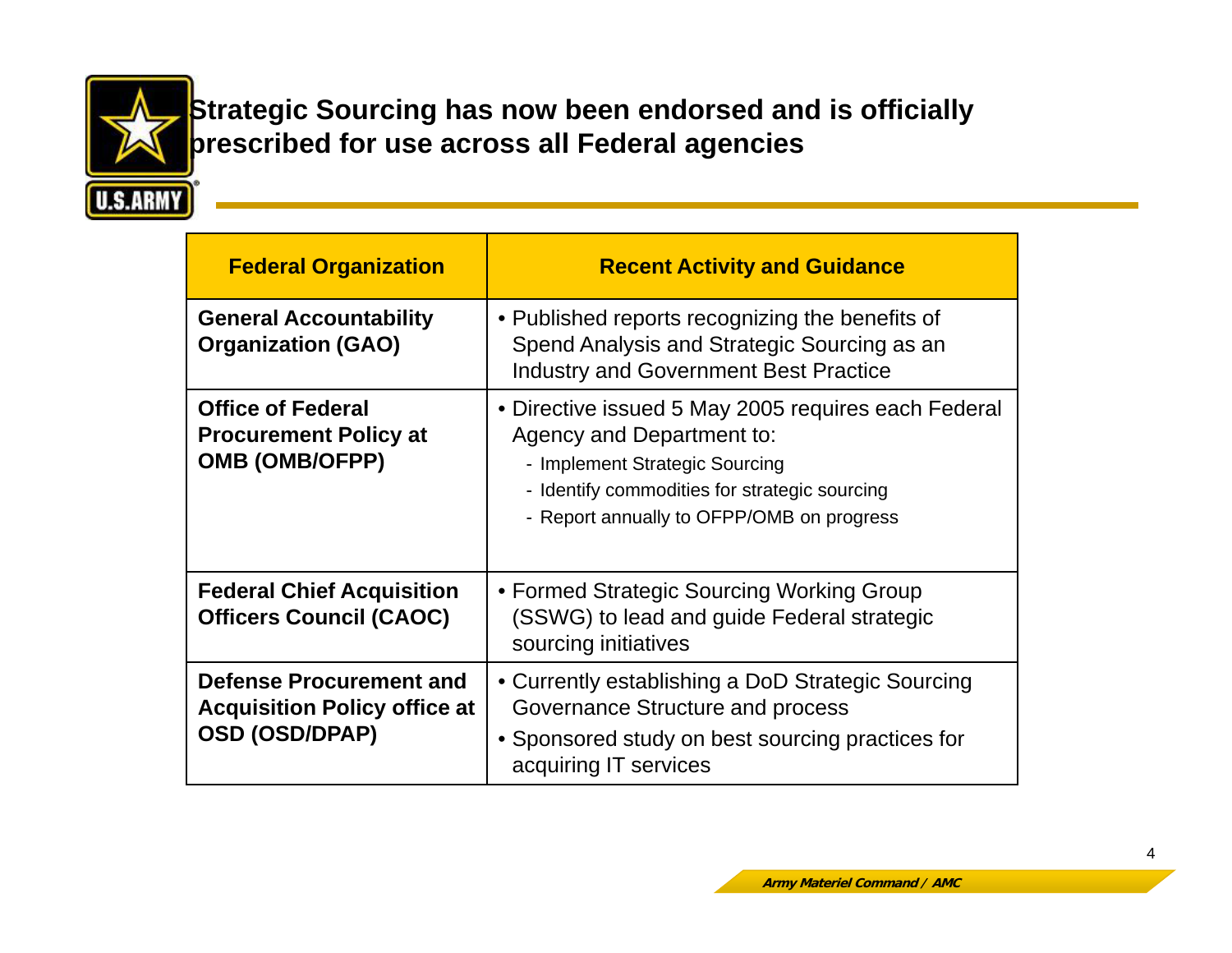

**Strategic Sourcing has now been endorsed and is officially prescribed for use across all Federal agencies**

| <b>Federal Organization</b>                                                                    | <b>Recent Activity and Guidance</b>                                                                                                                                                                              |
|------------------------------------------------------------------------------------------------|------------------------------------------------------------------------------------------------------------------------------------------------------------------------------------------------------------------|
| <b>General Accountability</b><br><b>Organization (GAO)</b>                                     | • Published reports recognizing the benefits of<br>Spend Analysis and Strategic Sourcing as an<br><b>Industry and Government Best Practice</b>                                                                   |
| <b>Office of Federal</b><br><b>Procurement Policy at</b><br><b>OMB (OMB/OFPP)</b>              | • Directive issued 5 May 2005 requires each Federal<br>Agency and Department to:<br>- Implement Strategic Sourcing<br>- Identify commodities for strategic sourcing<br>- Report annually to OFPP/OMB on progress |
| <b>Federal Chief Acquisition</b><br><b>Officers Council (CAOC)</b>                             | • Formed Strategic Sourcing Working Group<br>(SSWG) to lead and guide Federal strategic<br>sourcing initiatives                                                                                                  |
| <b>Defense Procurement and</b><br><b>Acquisition Policy office at</b><br><b>OSD (OSD/DPAP)</b> | • Currently establishing a DoD Strategic Sourcing<br>Governance Structure and process<br>• Sponsored study on best sourcing practices for<br>acquiring IT services                                               |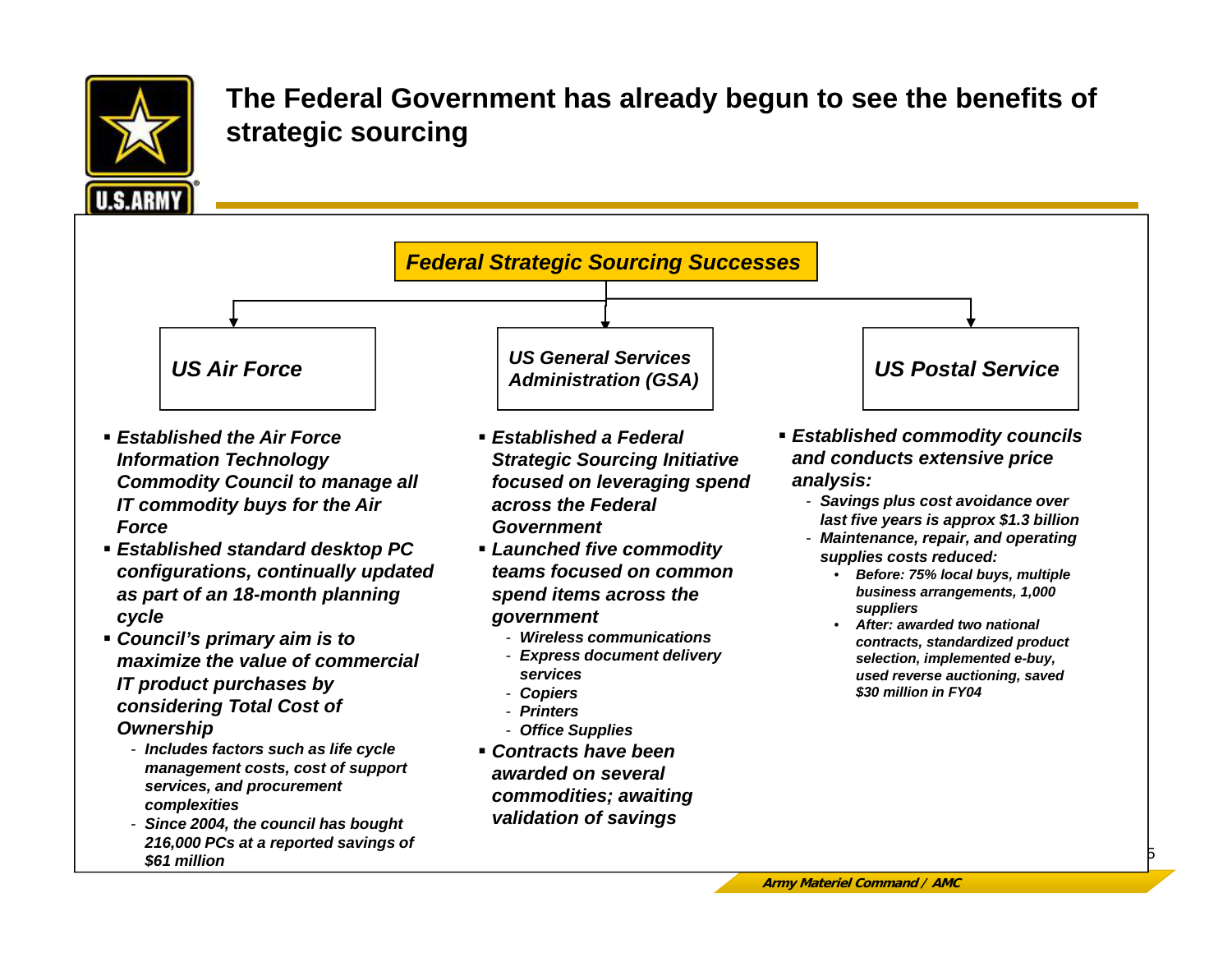

#### **The Federal Government has already begun to see the benefits of strategic sourcing**

*Administration (GSA) US Air Force US Postal Service*

- *Established the Air Force Information Technology Commodity Council to manage all IT commodity buys for the Air Force*
- *Established standard desktop PC configurations, continually updated as part of an 18-month planning cycle*
- *Council's primary aim is to i i th l f i lmaximize the value oIT product purchases by considering Total Cost of Ownership*
	- *Includes factors such as life cycle mana gement costs, cost of support g pp services, and procurement complexities*
	- *Since 2004, the council has bought 216,000 PCs at a reported savings of \$61 million*

 *Established a Federal Strategic Sourcing Initiative focused on leveraging spend across the Federal Government*

*Federal Strategic Sourcing Successes*

*US General Services* 

- *Launched five commodity teams focused on common spend items across the government*
	- *Wireless communications*
	- Express document delivery research and the selection, implemente *services*
	- *Copiers*
	- *Printers*
	- *Office Supplies*
- *Contracts have been awarded on severalcommodities; awaiting validation of savings*
- *Established commodity councils and conducts extensive price analysis:*
	- *Savings plus cost avoidance over last five years is approx \$1.3 billion*
	- *Maintenance repair and operating Maintenance, repair, operatingsupplies costs reduced:*
		- • *Before: 75% local buys, multiple business arrangements, 1,000 suppliers*
		- • *After: awarded two national contracts, standardized product l ti i l t dbe-buy, used reverse auctioning, saved \$30 million in FY04*

5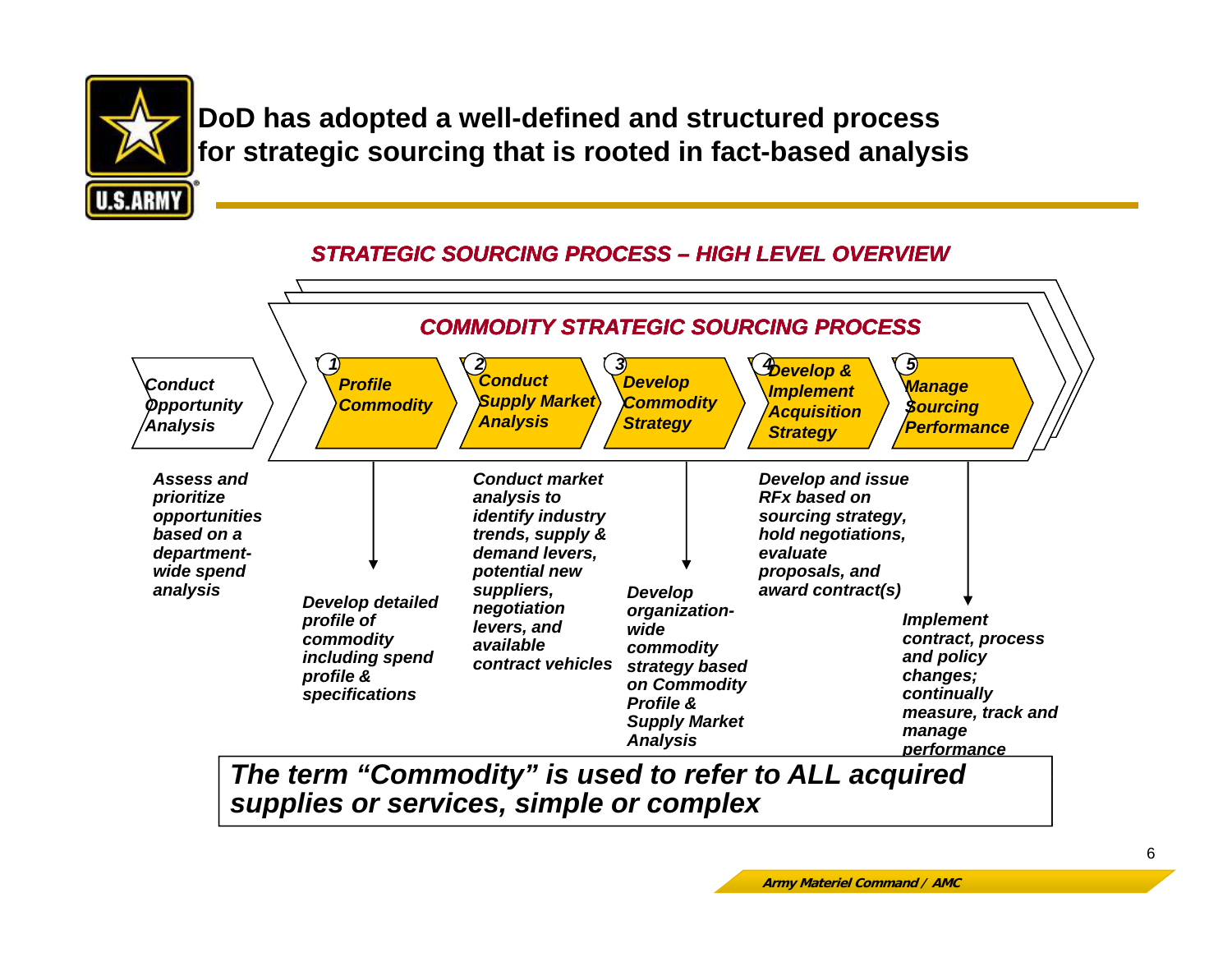

**DoD has adopted a well-defined and structured process for strategic sourcing that is rooted in fact-based analysis**



#### *STRATEGIC SOURCING PROCESS – HIGH LEVEL OVERVIEW*

*The term "Commodity " is used to refer to ALL acquired Commodity supplies or services, simple or complex*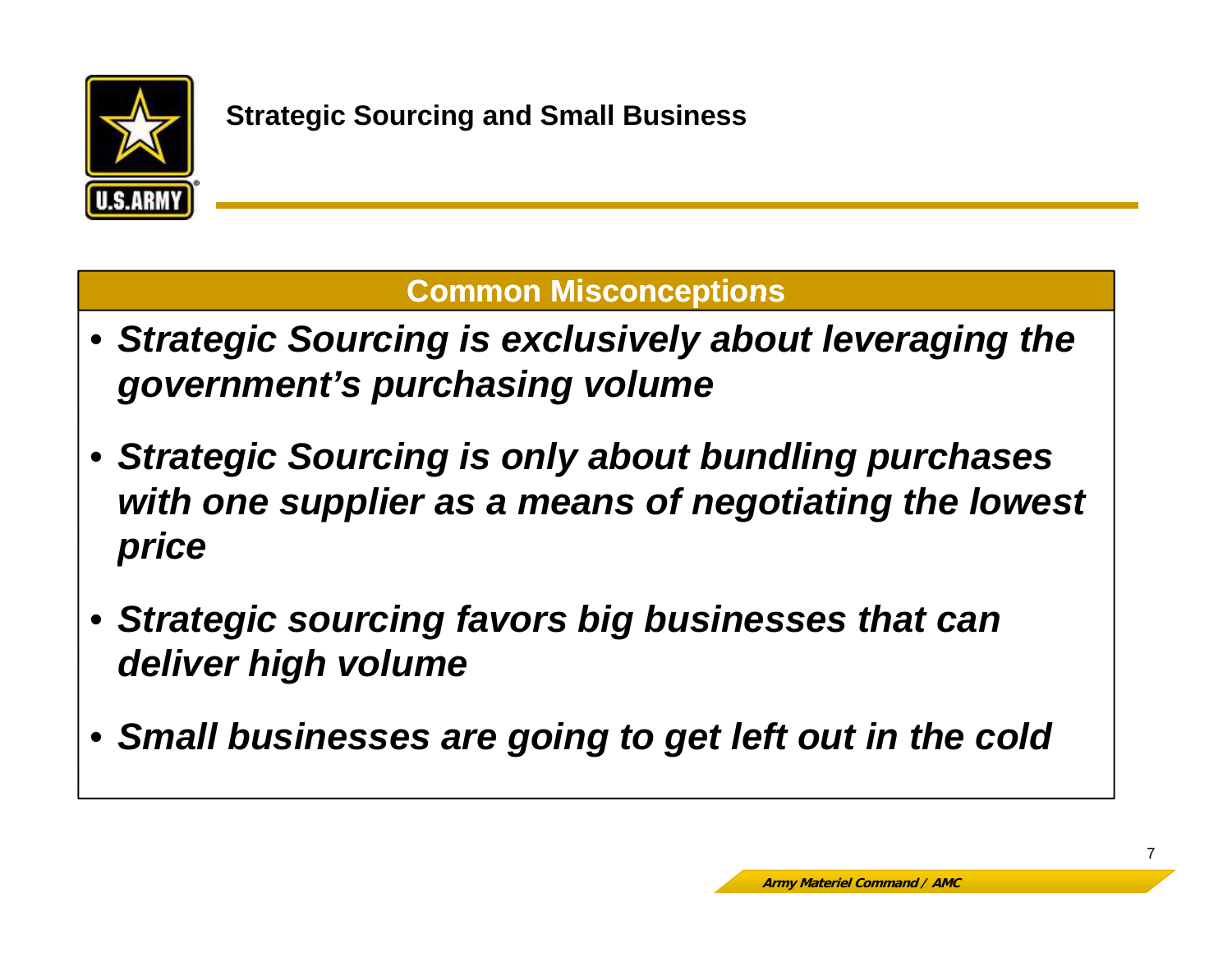

## **Common Misconceptions**

- *Strategic Sourcing is exclusively about leveraging the government's purchasing volume*
- *Strategic Sourcing is only about bundling purchases with one supplier as a means of negotiating the lowest p rice*
- *Strategic sourcing favors big businesses that can d li hi h l deliver hig h vo lume*
- *Small businesses are going to get left out in the cold*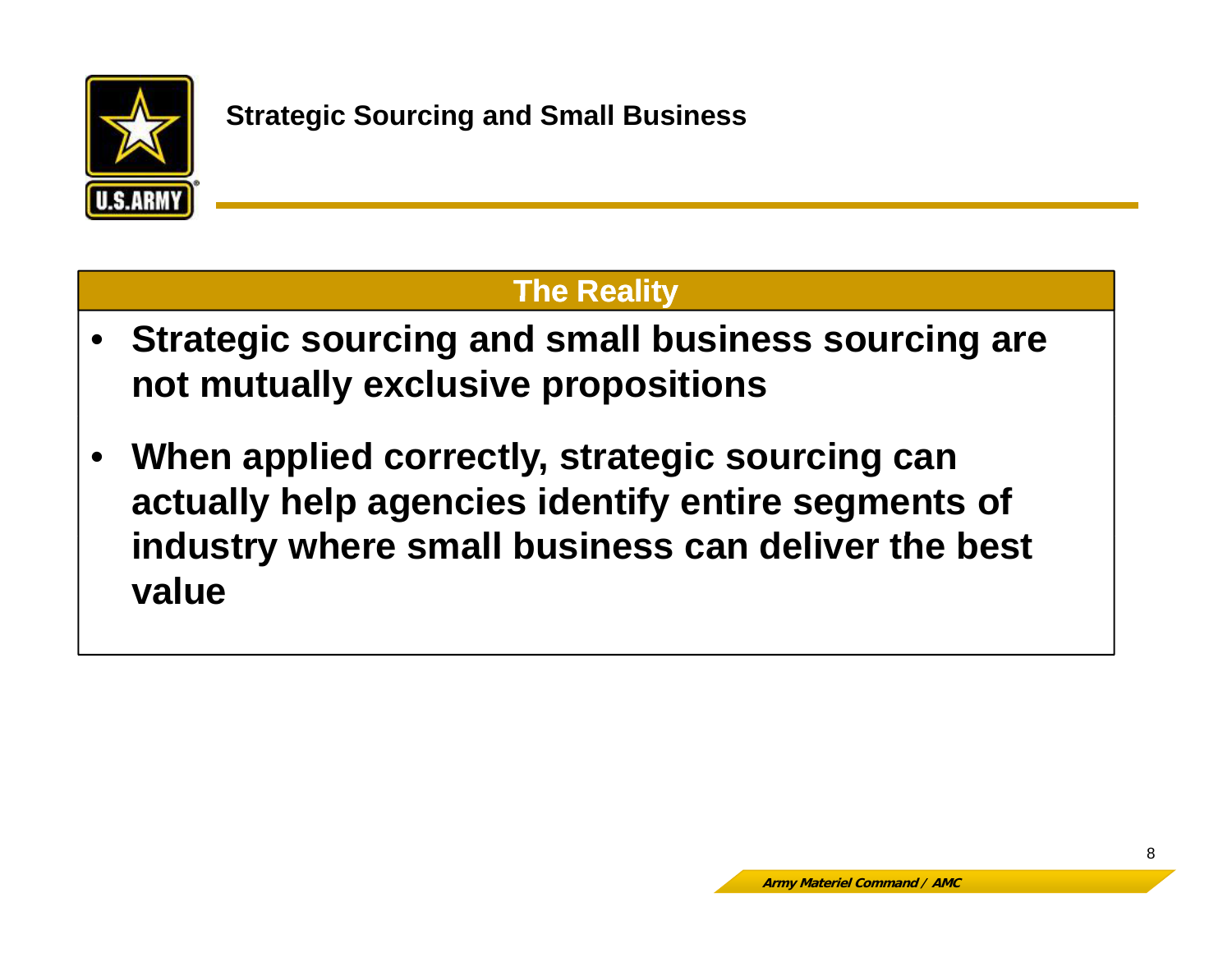

# **The Reality**

- $\bullet$  **Strategic sourcing and small business sourcing are not mutually exclusive propositions**
- • **When applied correctly, strategic sourcing can actually help agencies identify entire segments of**  industry where small business can deliver the best **value**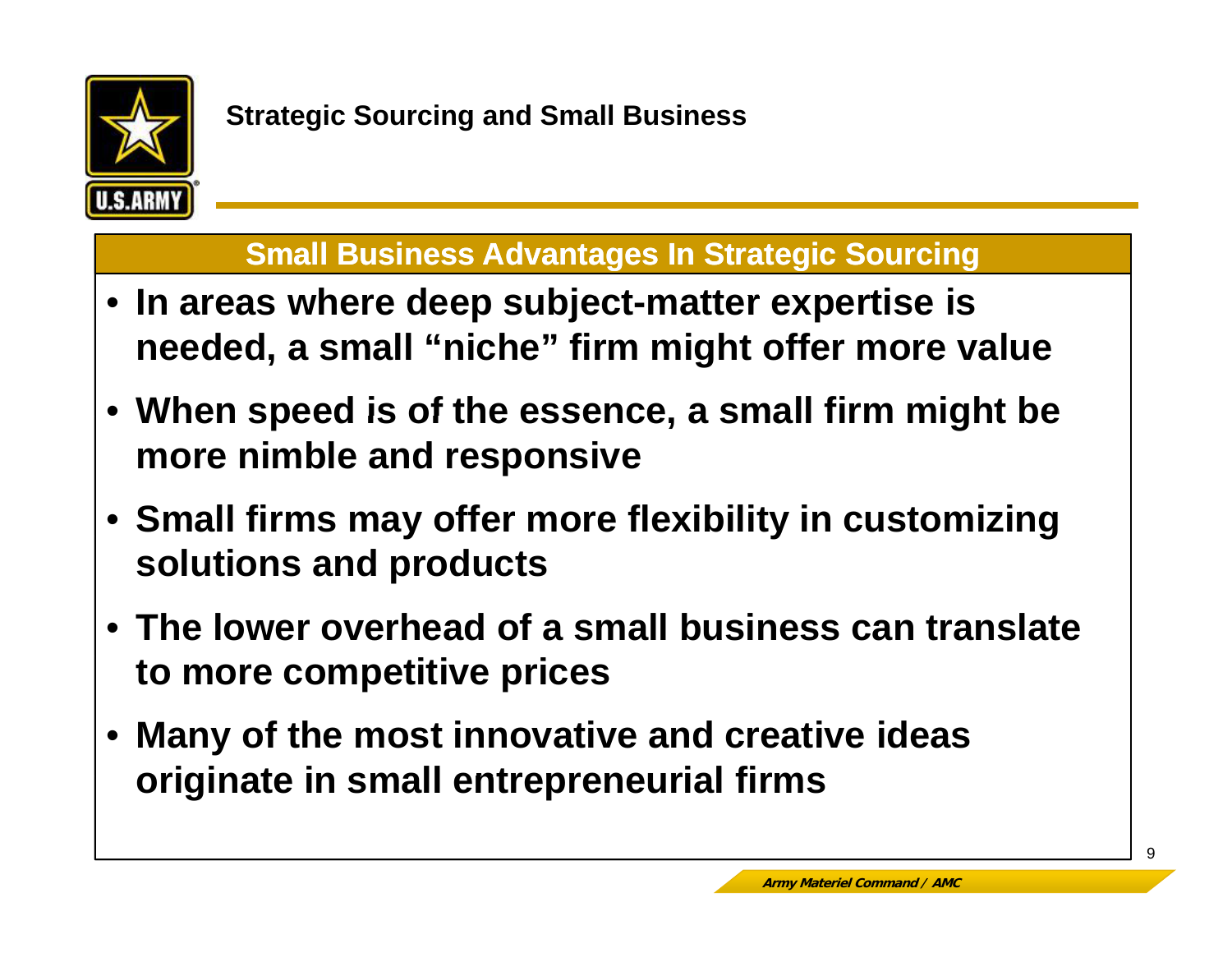

#### **Small Business Advantages In Strategic Sourcing**

- **In areas where deep subject matter expertise is where -matter needed, a small "niche" firm might offer more value**
- **When speed is of the essence <sup>a</sup> small firm might be essence, more nimble and responsive**
- Small firms may offer more flexibility in customizing **solutions and products**
- **The lower overhead of a small business can translate to more competitive prices**
- • **Many of the most innovative and creative ideas originate in small entrepreneurial firms**